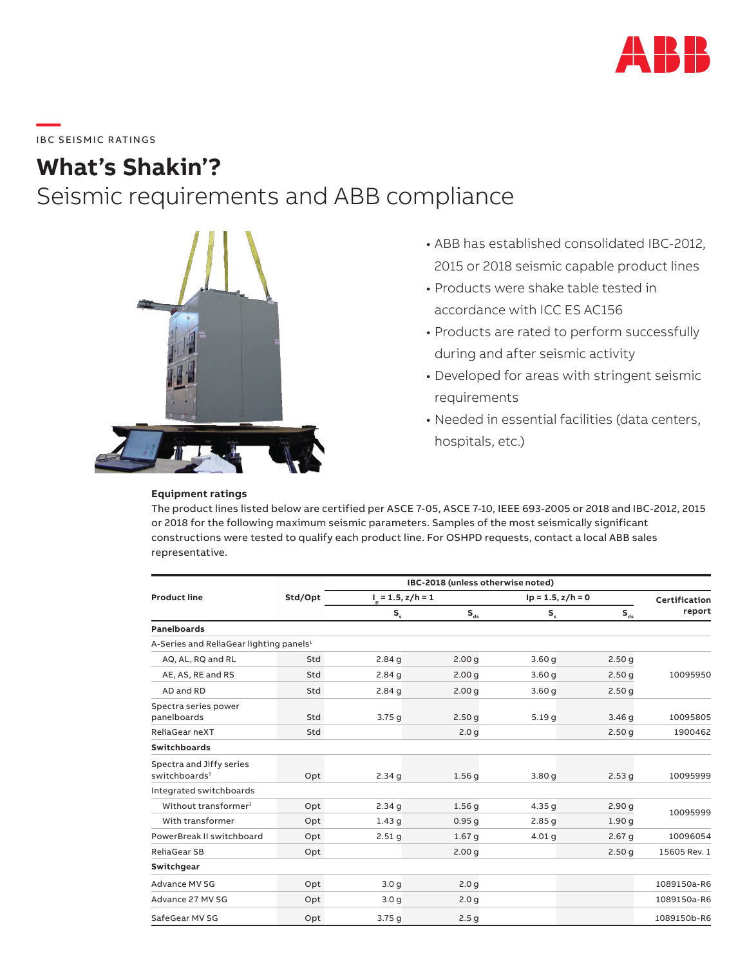

\_\_\_\_\_<br>IBC SEISMIC RATINGS

# **What's Shakin'?**

Seismic requirements and ABB compliance



- ABB has established consolidated IBC-2012, 2015 or 2018 seismic capable product lines
- Products were shake table tested in accordance with ICC ES AC156
- Products are rated to perform successfully during and after seismic activity
- Developed for areas with stringent seismic requirements
- Needed in essential facilities (data centers, hospitals, etc.)

The product lines listed below are certified per ASCE 7-05, ASCE 7-10, IEEE 693-2005 or 2018 and IBC-2012, 2015 or 2018 for the following maximum seismic parameters. Samples of the most seismically significant constructions were tested to qualify each product line. For OSHPD requests, contact a local ABB sales representative.

| <b>Product line</b>                                   |         | IBC-2018 (unless otherwise noted) |                               |                     |                               |               |
|-------------------------------------------------------|---------|-----------------------------------|-------------------------------|---------------------|-------------------------------|---------------|
|                                                       | Std/Opt | $I_{\rm o} = 1.5$ , z/h = 1       |                               | $lp = 1.5, z/h = 0$ |                               | Certification |
|                                                       |         | s.                                | $\mathsf{S}_{_{\mathsf{ds}}}$ | S.                  | $\mathsf{S}_{_{\mathsf{ds}}}$ | report        |
| <b>Panelboards</b>                                    |         |                                   |                               |                     |                               |               |
| A-Series and ReliaGear lighting panels <sup>1</sup>   |         |                                   |                               |                     |                               |               |
| AQ, AL, RQ and RL                                     | Std     | $2.84$ g                          | 2.00q                         | 3.60q               | 2.50q                         | 10095950      |
| AE, AS, RE and RS                                     | Std     | 2.84q                             | 2.00q                         | 3.60q               | 2.50q                         |               |
| AD and RD                                             | Std     | 2.84q                             | 2.00 <sub>q</sub>             | 3.60q               | 2.50 <sub>q</sub>             |               |
| Spectra series power<br>panelboards                   | Std     | 3.75q                             | 2.50q                         | 5.19q               | 3.46g                         | 10095805      |
| ReliaGear neXT                                        | Std     |                                   | 2.0 <sub>q</sub>              |                     | 2.50 <sub>q</sub>             | 1900462       |
| <b>Switchboards</b>                                   |         |                                   |                               |                     |                               |               |
| Spectra and Jiffy series<br>switchboards <sup>1</sup> | Opt     | 2.34q                             | 1.56q                         | 3.80q               | 2.53 <sub>q</sub>             | 10095999      |
| Integrated switchboards                               |         |                                   |                               |                     |                               |               |
| Without transformer <sup>1</sup>                      | Opt     | 2.34q                             | 1.56 <sub>q</sub>             | 4.35g               | 2.90q                         | 10095999      |
| With transformer                                      | Opt     | 1.43q                             | 0.95q                         | 2.85q               | 1.90q                         |               |
| PowerBreak II switchboard                             | Opt     | 2.51q                             | 1.67 <sub>q</sub>             | 4.01 <sub>q</sub>   | 2.67 <sub>q</sub>             | 10096054      |
| ReliaGear SB                                          | Opt     |                                   | 2.00 <sub>q</sub>             |                     | 2.50g                         | 15605 Rev. 1  |
| Switchgear                                            |         |                                   |                               |                     |                               |               |
| <b>Advance MV SG</b>                                  | Opt     | 3.0 <sub>q</sub>                  | 2.0 <sub>q</sub>              |                     |                               | 1089150a-R6   |
| Advance 27 MV SG                                      | Opt     | 3.0 <sub>q</sub>                  | 2.0 <sub>q</sub>              |                     |                               | 1089150a-R6   |
| SafeGear MV SG                                        | Opt     | 3.75q                             | 2.5 <sub>q</sub>              |                     |                               | 1089150b-R6   |

## **Equipment ratings**